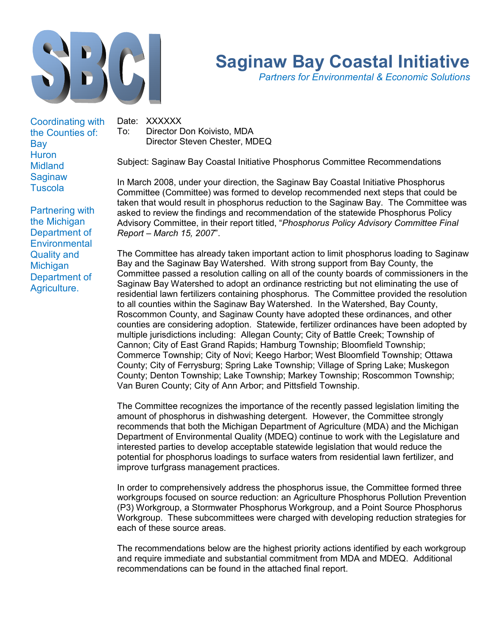

# Saginaw Bay Coastal Initiative

Partners for Environmental & Economic Solutions

Coordinating with the Counties of: Bay **Huron** Midland **Saginaw Tuscola** 

Partnering with the Michigan Department of **Environmental** Quality and **Michigan** Department of Agriculture.

Date: XXXXXX To: Director Don Koivisto, MDA Director Steven Chester, MDEQ

Subject: Saginaw Bay Coastal Initiative Phosphorus Committee Recommendations

In March 2008, under your direction, the Saginaw Bay Coastal Initiative Phosphorus Committee (Committee) was formed to develop recommended next steps that could be taken that would result in phosphorus reduction to the Saginaw Bay. The Committee was asked to review the findings and recommendation of the statewide Phosphorus Policy Advisory Committee, in their report titled, "Phosphorus Policy Advisory Committee Final Report – March 15, 2007".

The Committee has already taken important action to limit phosphorus loading to Saginaw Bay and the Saginaw Bay Watershed. With strong support from Bay County, the Committee passed a resolution calling on all of the county boards of commissioners in the Saginaw Bay Watershed to adopt an ordinance restricting but not eliminating the use of residential lawn fertilizers containing phosphorus. The Committee provided the resolution to all counties within the Saginaw Bay Watershed. In the Watershed, Bay County, Roscommon County, and Saginaw County have adopted these ordinances, and other counties are considering adoption. Statewide, fertilizer ordinances have been adopted by multiple jurisdictions including: Allegan County; City of Battle Creek; Township of Cannon; City of East Grand Rapids; Hamburg Township; Bloomfield Township; Commerce Township; City of Novi; Keego Harbor; West Bloomfield Township; Ottawa County; City of Ferrysburg; Spring Lake Township; Village of Spring Lake; Muskegon County; Denton Township; Lake Township; Markey Township; Roscommon Township; Van Buren County; City of Ann Arbor; and Pittsfield Township.

The Committee recognizes the importance of the recently passed legislation limiting the amount of phosphorus in dishwashing detergent. However, the Committee strongly recommends that both the Michigan Department of Agriculture (MDA) and the Michigan Department of Environmental Quality (MDEQ) continue to work with the Legislature and interested parties to develop acceptable statewide legislation that would reduce the potential for phosphorus loadings to surface waters from residential lawn fertilizer, and improve turfgrass management practices.

In order to comprehensively address the phosphorus issue, the Committee formed three workgroups focused on source reduction: an Agriculture Phosphorus Pollution Prevention (P3) Workgroup, a Stormwater Phosphorus Workgroup, and a Point Source Phosphorus Workgroup. These subcommittees were charged with developing reduction strategies for each of these source areas.

The recommendations below are the highest priority actions identified by each workgroup and require immediate and substantial commitment from MDA and MDEQ. Additional recommendations can be found in the attached final report.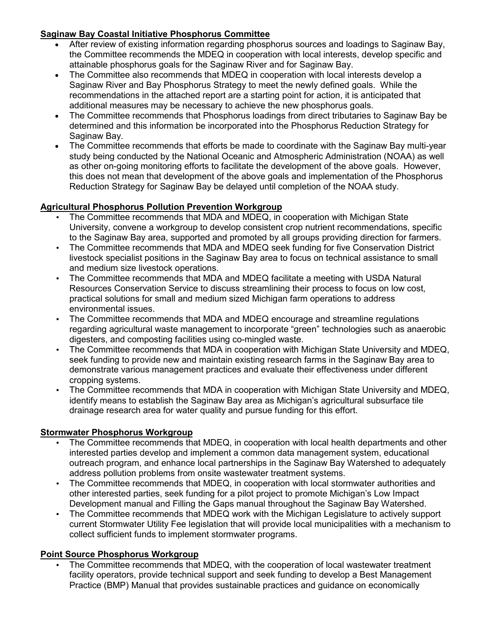### Saginaw Bay Coastal Initiative Phosphorus Committee

- After review of existing information regarding phosphorus sources and loadings to Saginaw Bay, the Committee recommends the MDEQ in cooperation with local interests, develop specific and attainable phosphorus goals for the Saginaw River and for Saginaw Bay.
- The Committee also recommends that MDEQ in cooperation with local interests develop a Saginaw River and Bay Phosphorus Strategy to meet the newly defined goals. While the recommendations in the attached report are a starting point for action, it is anticipated that additional measures may be necessary to achieve the new phosphorus goals.
- The Committee recommends that Phosphorus loadings from direct tributaries to Saginaw Bay be determined and this information be incorporated into the Phosphorus Reduction Strategy for Saginaw Bay.
- The Committee recommends that efforts be made to coordinate with the Saginaw Bay multi-year study being conducted by the National Oceanic and Atmospheric Administration (NOAA) as well as other on-going monitoring efforts to facilitate the development of the above goals. However, this does not mean that development of the above goals and implementation of the Phosphorus Reduction Strategy for Saginaw Bay be delayed until completion of the NOAA study.

## Agricultural Phosphorus Pollution Prevention Workgroup

- The Committee recommends that MDA and MDEQ, in cooperation with Michigan State University, convene a workgroup to develop consistent crop nutrient recommendations, specific to the Saginaw Bay area, supported and promoted by all groups providing direction for farmers.
- The Committee recommends that MDA and MDEQ seek funding for five Conservation District livestock specialist positions in the Saginaw Bay area to focus on technical assistance to small and medium size livestock operations.
- The Committee recommends that MDA and MDEQ facilitate a meeting with USDA Natural Resources Conservation Service to discuss streamlining their process to focus on low cost, practical solutions for small and medium sized Michigan farm operations to address environmental issues.
- The Committee recommends that MDA and MDEQ encourage and streamline regulations regarding agricultural waste management to incorporate "green" technologies such as anaerobic digesters, and composting facilities using co-mingled waste.
- The Committee recommends that MDA in cooperation with Michigan State University and MDEQ, seek funding to provide new and maintain existing research farms in the Saginaw Bay area to demonstrate various management practices and evaluate their effectiveness under different cropping systems.
- The Committee recommends that MDA in cooperation with Michigan State University and MDEQ, identify means to establish the Saginaw Bay area as Michigan's agricultural subsurface tile drainage research area for water quality and pursue funding for this effort.

### Stormwater Phosphorus Workgroup

- The Committee recommends that MDEQ, in cooperation with local health departments and other interested parties develop and implement a common data management system, educational outreach program, and enhance local partnerships in the Saginaw Bay Watershed to adequately address pollution problems from onsite wastewater treatment systems.
- The Committee recommends that MDEQ, in cooperation with local stormwater authorities and other interested parties, seek funding for a pilot project to promote Michigan's Low Impact Development manual and Filling the Gaps manual throughout the Saginaw Bay Watershed.
- The Committee recommends that MDEQ work with the Michigan Legislature to actively support current Stormwater Utility Fee legislation that will provide local municipalities with a mechanism to collect sufficient funds to implement stormwater programs.

## Point Source Phosphorus Workgroup

• The Committee recommends that MDEQ, with the cooperation of local wastewater treatment facility operators, provide technical support and seek funding to develop a Best Management Practice (BMP) Manual that provides sustainable practices and guidance on economically